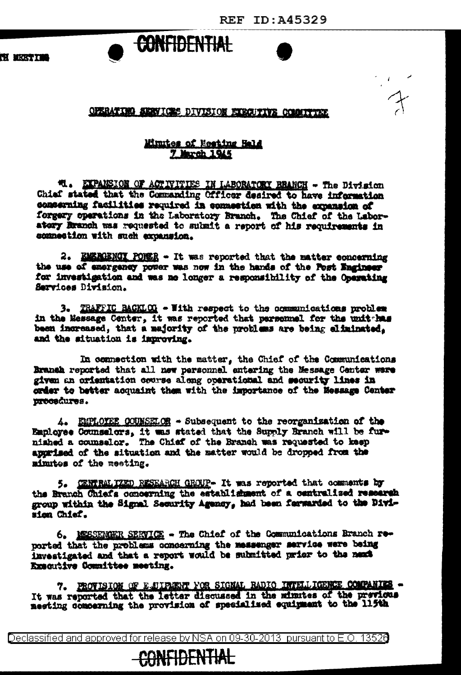## CONFIDENTIAL

OPERATING SERVICES DIVISION EXECUTIVE COMMITTEE

## Minites of Meeting Hald 7 March 1945

**M. EXPANSION OF ACTIVITIES IN LABORATORY REANCH - The Division** Chief stated that the Commanding Officer desired to have information concerning facilities required in consection with the expansion of forgery operations in the Laboratory Branch. The Chief of the Laboratery kranch was requested to submit a report of his requirements in connection with such expansion.

2. EMERGENCY PONER - It was reported that the matter concerning the use of emergency power was now in the hands of the Post Engineer for investigation and was no longer a responsibility of the Operating Services Division.

3. TRAFFIC BACKLOG - With respect to the communications problem in the Message Center, it was reported that personnel for the unit has been increased, that a majority of the problems are being eliminated. and the situation is improving.

In connection with the matter, the Chief of the Communications Branch reported that all new personnel entering the Message Center were given an orientation course along operational and security lines in order to better acquaint them with the importance of the Message Center procedures.

4. EMPLOYEE COUNSELOR - Subsequent to the reorganization of the Employee Counselors, it was stated that the Supply Branch will be fur-<br>niahed a counselor. The Chief of the Branch was requested to keep apprised of the situation and the matter would be dropped from the minutes of the meeting.

5. GENTRAL IZED RESEARCH GROUP- It was reported that comments by the Branch Chiefs concerning the establishment of a centralized research group within the Signal Security Agency, had been ferwarded to the Division Chief.

6. MESSENGER SERVICE - The Chief of the Communications Branch reported that the problems concerning the messenger service were being investigated and that a report would be submitted prior to the next Executive Committee meeting.

7. PROVISION OF E-SUIPENT FOR SIGNAL RADIO INTELLIGENCE COMPANIES --<br>It was reported that the letter discussed in the minutes of the previous meeting comperning the provision of specialized equipment to the 115th

Declassified and approved for release by NSA on 09-30-2013 pursuant to E.O. 13526

## **CONFIDENTIAL**